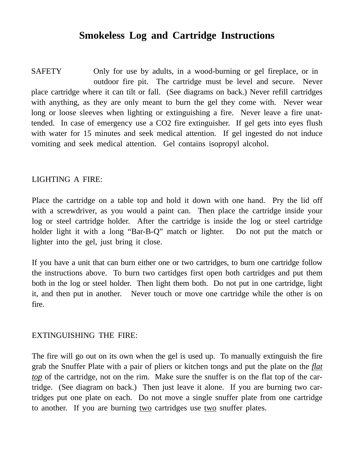## **Smokeless Log and Cartridge Instructions**

SAFETY Only for use by adults, in a wood-burning or gel fireplace, or in outdoor fire pit. The cartridge must be level and secure. Never place cartridge where it can tilt or fall. (See diagrams on back.) Never refill cartridges with anything, as they are only meant to burn the gel they come with. Never wear long or loose sleeves when lighting or extinguishing a fire. Never leave a fire unattended. In case of emergency use a CO2 fire extinguisher. If gel gets into eyes flush with water for 15 minutes and seek medical attention. If gel ingested do not induce vomiting and seek medical attention. Gel contains isopropyl alcohol.

#### LIGHTING A FIRE:

Place the cartridge on a table top and hold it down with one hand. Pry the lid off with a screwdriver, as you would a paint can. Then place the cartridge inside your log or steel cartridge holder. After the cartridge is inside the log or steel cartridge holder light it with a long "Bar-B-Q" match or lighter. Do not put the match or lighter into the gel, just bring it close.

If you have a unit that can burn either one or two cartridges, to burn one cartridge follow the instructions above. To burn two cartidges first open both cartridges and put them both in the log or steel holder. Then light them both. Do not put in one cartridge, light it, and then put in another. Never touch or move one cartridge while the other is on fire.

### EXTINGUISHING THE FIRE:

The fire will go out on its own when the gel is used up. To manually extinguish the fire grab the Snuffer Plate with a pair of pliers or kitchen tongs and put the plate on the *flat top* of the cartridge, not on the rim. Make sure the snuffer is on the flat top of the cartridge. (See diagram on back.) Then just leave it alone. If you are burning two cartridges put one plate on each. Do not move a single snuffer plate from one cartridge to another. If you are burning <u>two</u> cartridges use two snuffer plates.